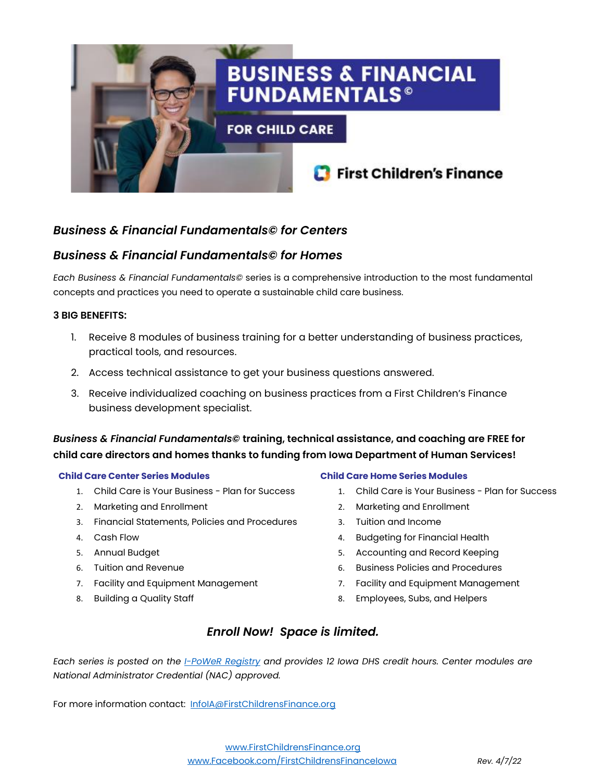

### *Business & Financial Fundamentals© for Centers*

### *Business & Financial Fundamentals© for Homes*

*Each Business & Financial Fundamentals©* series is a comprehensive introduction to the most fundamental concepts and practices you need to operate a sustainable child care business.

#### **3 BIG BENEFITS:**

- 1. Receive 8 modules of business training for a better understanding of business practices, practical tools, and resources.
- 2. Access technical assistance to get your business questions answered.
- 3. Receive individualized coaching on business practices from a First Children's Finance business development specialist.

*Business & Financial Fundamentals©* **training, technical assistance, and coaching are FREE for child care directors and homes thanks to funding from Iowa Department of Human Services!**

#### **Child Care Center Series Modules**

- 1. Child Care is Your Business Plan for Success
- 2. Marketing and Enrollment
- 3. Financial Statements, Policies and Procedures
- 4. Cash Flow
- 5. Annual Budget
- 6. Tuition and Revenue
- 7. Facility and Equipment Management
- 8. Building a Quality Staff

#### **Child Care Home Series Modules**

- 1. Child Care is Your Business Plan for Success
- 2. Marketing and Enrollment
- 3. Tuition and Income
- 4. Budgeting for Financial Health
- 5. Accounting and Record Keeping
- 6. Business Policies and Procedures
- 7. Facility and Equipment Management
- 8. Employees, Subs, and Helpers

### *Enroll Now! Space is limited.*

*Each series is posted on the [I-PoWeR](https://ccmis.dhs.state.ia.us/trainingregistry/TrainingRegistry/Public/) Registry and provides 12 Iowa DHS credit hours. Center modules are National Administrator Credential (NAC) approved.* 

For more information contact: [InfoIA@FirstChildrensFinance.org](mailto:InfoIA@FirstChildrensFinance.org)